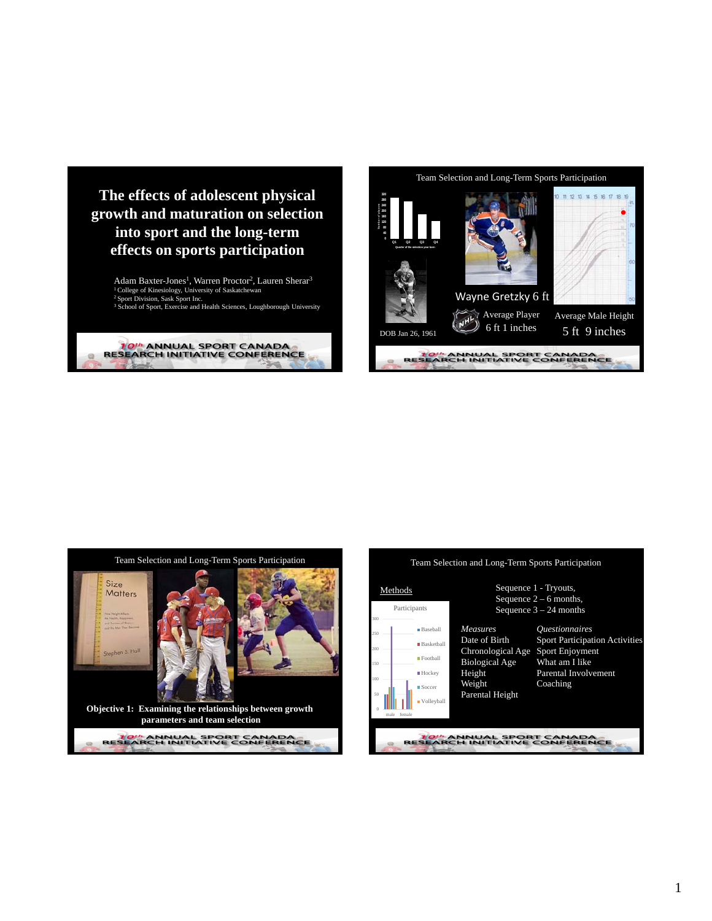

Adam Baxter-Jones<sup>1</sup>, Warren Proctor<sup>2</sup>, Lauren Sherar<sup>3</sup> 1 College of Kinesiology, University of Saskatchewan 2 Sport Division, Sask Sport Inc. <sup>3</sup> School of Sport, Exercise and Health Sciences, Loughborough University









## 1